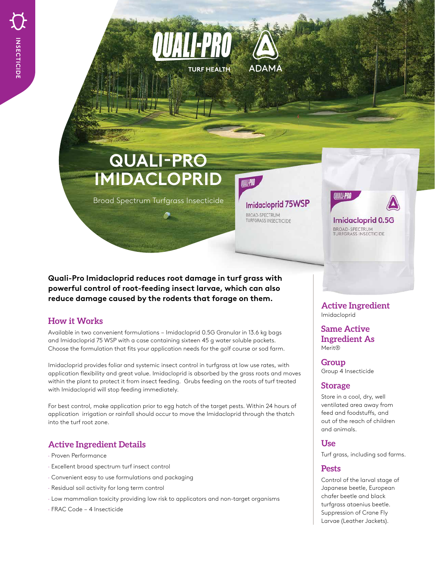# **QUALI-PRO IMIDACLOPRID**

Broad Spectrum Turfgrass Insecticide

**Imidacloprid 75WSP BROAD-SPECTRUM**<br>TURFGRASS INSECTICIDE

QUALI-PRO

**ADAMA** 

**TURF HEALTH** 

Imidacloprid 0.5G **BROAD-SPECTRUM**<br>TURFGRASS INSECTICIDE

**Quali-Pro Imidacloprid reduces root damage in turf grass with powerful control of root-feeding insect larvae, which can also reduce damage caused by the rodents that forage on them.** 

### **How it Works**

Available in two convenient formulations – Imidacloprid 0.5G Granular in 13.6 kg bags and Imidacloprid 75 WSP with a case containing sixteen 45 g water soluble packets. Choose the formulation that fits your application needs for the golf course or sod farm.

Imidacloprid provides foliar and systemic insect control in turfgrass at low use rates, with application flexibility and great value. Imidacloprid is absorbed by the grass roots and moves within the plant to protect it from insect feeding. Grubs feeding on the roots of turf treated with Imidacloprid will stop feeding immediately.

For best control, make application prior to egg hatch of the target pests. Within 24 hours of application irrigation or rainfall should occur to move the Imidacloprid through the thatch into the turf root zone.

## **Active Ingredient Details**

- · Proven Performance
- · Excellent broad spectrum turf insect control
- · Convenient easy to use formulations and packaging
- · Residual soil activity for long term control
- · Low mammalian toxicity providing low risk to applicators and non-target organisms
- · FRAC Code 4 Insecticide

**Active Ingredient** Imidacloprid

**Same Active Ingredient As** Merit®

**Group** Group 4 Insecticide

#### **Storage**

Store in a cool, dry, well ventilated area away from feed and foodstuffs, and out of the reach of children and animals.

#### **Use**

Turf grass, including sod farms.

#### **Pests**

Control of the larval stage of Japanese beetle, European chafer beetle and black turfgrass ataenius beetle. Suppression of Crane Fly Larvae (Leather Jackets).